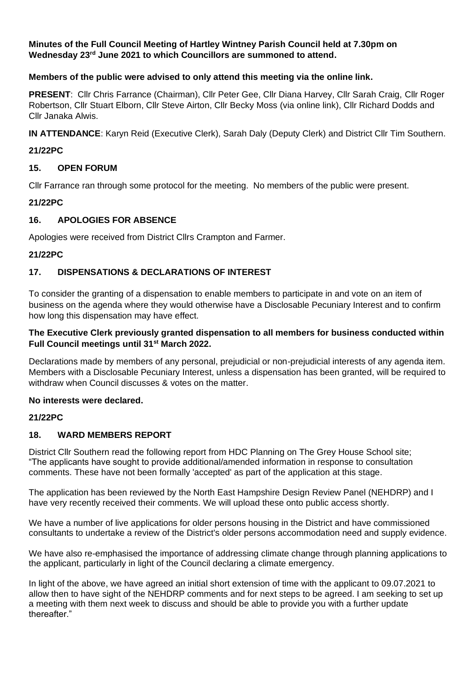#### **Minutes of the Full Council Meeting of Hartley Wintney Parish Council held at 7.30pm on Wednesday 23rd June 2021 to which Councillors are summoned to attend.**

## **Members of the public were advised to only attend this meeting via the online link.**

**PRESENT**: Cllr Chris Farrance (Chairman), Cllr Peter Gee, Cllr Diana Harvey, Cllr Sarah Craig, Cllr Roger Robertson, Cllr Stuart Elborn, Cllr Steve Airton, Cllr Becky Moss (via online link), Cllr Richard Dodds and Cllr Janaka Alwis.

**IN ATTENDANCE**: Karyn Reid (Executive Clerk), Sarah Daly (Deputy Clerk) and District Cllr Tim Southern.

#### **21/22PC**

## **15. OPEN FORUM**

Cllr Farrance ran through some protocol for the meeting. No members of the public were present.

## **21/22PC**

## **16. APOLOGIES FOR ABSENCE**

Apologies were received from District Cllrs Crampton and Farmer.

## **21/22PC**

# **17. DISPENSATIONS & DECLARATIONS OF INTEREST**

To consider the granting of a dispensation to enable members to participate in and vote on an item of business on the agenda where they would otherwise have a Disclosable Pecuniary Interest and to confirm how long this dispensation may have effect.

#### **The Executive Clerk previously granted dispensation to all members for business conducted within Full Council meetings until 31st March 2022.**

Declarations made by members of any personal, prejudicial or non-prejudicial interests of any agenda item. Members with a Disclosable Pecuniary Interest, unless a dispensation has been granted, will be required to withdraw when Council discusses & votes on the matter.

#### **No interests were declared.**

#### **21/22PC**

# **18. WARD MEMBERS REPORT**

District Cllr Southern read the following report from HDC Planning on The Grey House School site; "The applicants have sought to provide additional/amended information in response to consultation comments. These have not been formally 'accepted' as part of the application at this stage.

The application has been reviewed by the North East Hampshire Design Review Panel (NEHDRP) and I have very recently received their comments. We will upload these onto public access shortly.

We have a number of live applications for older persons housing in the District and have commissioned consultants to undertake a review of the District's older persons accommodation need and supply evidence.

We have also re-emphasised the importance of addressing climate change through planning applications to the applicant, particularly in light of the Council declaring a climate emergency.

In light of the above, we have agreed an initial short extension of time with the applicant to 09.07.2021 to allow then to have sight of the NEHDRP comments and for next steps to be agreed. I am seeking to set up a meeting with them next week to discuss and should be able to provide you with a further update thereafter."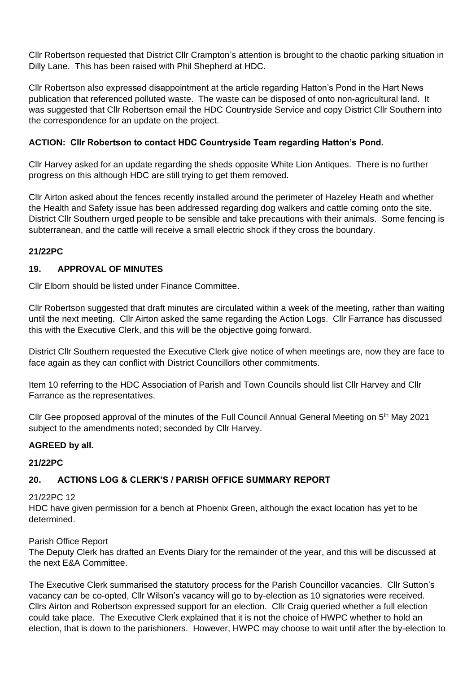Cllr Robertson requested that District Cllr Crampton's attention is brought to the chaotic parking situation in Dilly Lane. This has been raised with Phil Shepherd at HDC.

Cllr Robertson also expressed disappointment at the article regarding Hatton's Pond in the Hart News publication that referenced polluted waste. The waste can be disposed of onto non-agricultural land. It was suggested that Cllr Robertson email the HDC Countryside Service and copy District Cllr Southern into the correspondence for an update on the project.

# **ACTION: Cllr Robertson to contact HDC Countryside Team regarding Hatton's Pond.**

Cllr Harvey asked for an update regarding the sheds opposite White Lion Antiques. There is no further progress on this although HDC are still trying to get them removed.

Cllr Airton asked about the fences recently installed around the perimeter of Hazeley Heath and whether the Health and Safety issue has been addressed regarding dog walkers and cattle coming onto the site. District Cllr Southern urged people to be sensible and take precautions with their animals. Some fencing is subterranean, and the cattle will receive a small electric shock if they cross the boundary.

# **21/22PC**

# **19. APPROVAL OF MINUTES**

Cllr Elborn should be listed under Finance Committee.

Cllr Robertson suggested that draft minutes are circulated within a week of the meeting, rather than waiting until the next meeting. Cllr Airton asked the same regarding the Action Logs. Cllr Farrance has discussed this with the Executive Clerk, and this will be the objective going forward.

District Cllr Southern requested the Executive Clerk give notice of when meetings are, now they are face to face again as they can conflict with District Councillors other commitments.

Item 10 referring to the HDC Association of Parish and Town Councils should list Cllr Harvey and Cllr Farrance as the representatives.

Cllr Gee proposed approval of the minutes of the Full Council Annual General Meeting on  $5<sup>th</sup>$  May 2021 subject to the amendments noted; seconded by Cllr Harvey.

# **AGREED by all.**

# **21/22PC**

# **20. ACTIONS LOG & CLERK'S / PARISH OFFICE SUMMARY REPORT**

#### 21/22PC 12

HDC have given permission for a bench at Phoenix Green, although the exact location has yet to be determined.

# Parish Office Report

The Deputy Clerk has drafted an Events Diary for the remainder of the year, and this will be discussed at the next E&A Committee.

The Executive Clerk summarised the statutory process for the Parish Councillor vacancies. Cllr Sutton's vacancy can be co-opted, Cllr Wilson's vacancy will go to by-election as 10 signatories were received. Cllrs Airton and Robertson expressed support for an election. Cllr Craig queried whether a full election could take place. The Executive Clerk explained that it is not the choice of HWPC whether to hold an election, that is down to the parishioners. However, HWPC may choose to wait until after the by-election to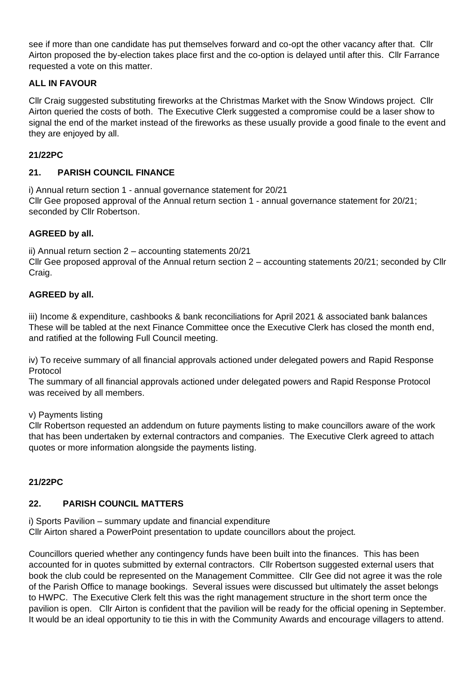see if more than one candidate has put themselves forward and co-opt the other vacancy after that. Cllr Airton proposed the by-election takes place first and the co-option is delayed until after this. Cllr Farrance requested a vote on this matter.

# **ALL IN FAVOUR**

Cllr Craig suggested substituting fireworks at the Christmas Market with the Snow Windows project. Cllr Airton queried the costs of both. The Executive Clerk suggested a compromise could be a laser show to signal the end of the market instead of the fireworks as these usually provide a good finale to the event and they are enjoyed by all.

# **21/22PC**

# **21. PARISH COUNCIL FINANCE**

i) Annual return section 1 - annual governance statement for 20/21 Cllr Gee proposed approval of the Annual return section 1 - annual governance statement for 20/21; seconded by Cllr Robertson.

# **AGREED by all.**

ii) Annual return section 2 – accounting statements 20/21 Cllr Gee proposed approval of the Annual return section 2 – accounting statements 20/21; seconded by Cllr Craig.

# **AGREED by all.**

iii) Income & expenditure, cashbooks & bank reconciliations for April 2021 & associated bank balances These will be tabled at the next Finance Committee once the Executive Clerk has closed the month end, and ratified at the following Full Council meeting.

iv) To receive summary of all financial approvals actioned under delegated powers and Rapid Response Protocol

The summary of all financial approvals actioned under delegated powers and Rapid Response Protocol was received by all members.

# v) Payments listing

Cllr Robertson requested an addendum on future payments listing to make councillors aware of the work that has been undertaken by external contractors and companies. The Executive Clerk agreed to attach quotes or more information alongside the payments listing.

# **21/22PC**

# **22. PARISH COUNCIL MATTERS**

i) Sports Pavilion – summary update and financial expenditure Cllr Airton shared a PowerPoint presentation to update councillors about the project.

Councillors queried whether any contingency funds have been built into the finances. This has been accounted for in quotes submitted by external contractors. Cllr Robertson suggested external users that book the club could be represented on the Management Committee. Cllr Gee did not agree it was the role of the Parish Office to manage bookings. Several issues were discussed but ultimately the asset belongs to HWPC. The Executive Clerk felt this was the right management structure in the short term once the pavilion is open. Cllr Airton is confident that the pavilion will be ready for the official opening in September. It would be an ideal opportunity to tie this in with the Community Awards and encourage villagers to attend.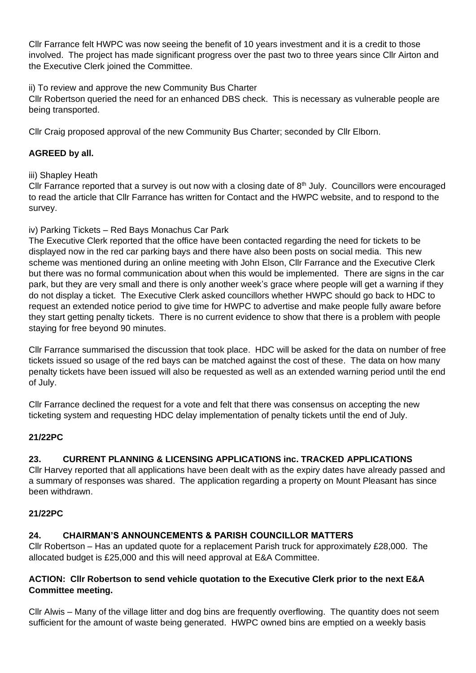Cllr Farrance felt HWPC was now seeing the benefit of 10 years investment and it is a credit to those involved. The project has made significant progress over the past two to three years since Cllr Airton and the Executive Clerk joined the Committee.

ii) To review and approve the new Community Bus Charter

Cllr Robertson queried the need for an enhanced DBS check. This is necessary as vulnerable people are being transported.

Cllr Craig proposed approval of the new Community Bus Charter; seconded by Cllr Elborn.

# **AGREED by all.**

# iii) Shapley Heath

Cllr Farrance reported that a survey is out now with a closing date of  $8<sup>th</sup>$  July. Councillors were encouraged to read the article that Cllr Farrance has written for Contact and the HWPC website, and to respond to the survey.

# iv) Parking Tickets – Red Bays Monachus Car Park

The Executive Clerk reported that the office have been contacted regarding the need for tickets to be displayed now in the red car parking bays and there have also been posts on social media. This new scheme was mentioned during an online meeting with John Elson, Cllr Farrance and the Executive Clerk but there was no formal communication about when this would be implemented. There are signs in the car park, but they are very small and there is only another week's grace where people will get a warning if they do not display a ticket. The Executive Clerk asked councillors whether HWPC should go back to HDC to request an extended notice period to give time for HWPC to advertise and make people fully aware before they start getting penalty tickets. There is no current evidence to show that there is a problem with people staying for free beyond 90 minutes.

Cllr Farrance summarised the discussion that took place. HDC will be asked for the data on number of free tickets issued so usage of the red bays can be matched against the cost of these. The data on how many penalty tickets have been issued will also be requested as well as an extended warning period until the end of July.

Cllr Farrance declined the request for a vote and felt that there was consensus on accepting the new ticketing system and requesting HDC delay implementation of penalty tickets until the end of July.

# **21/22PC**

# **23. CURRENT PLANNING & LICENSING APPLICATIONS inc. TRACKED APPLICATIONS**

Cllr Harvey reported that all applications have been dealt with as the expiry dates have already passed and a summary of responses was shared. The application regarding a property on Mount Pleasant has since been withdrawn.

# **21/22PC**

# **24. CHAIRMAN'S ANNOUNCEMENTS & PARISH COUNCILLOR MATTERS**

Cllr Robertson – Has an updated quote for a replacement Parish truck for approximately £28,000. The allocated budget is £25,000 and this will need approval at E&A Committee.

# **ACTION: Cllr Robertson to send vehicle quotation to the Executive Clerk prior to the next E&A Committee meeting.**

Cllr Alwis – Many of the village litter and dog bins are frequently overflowing. The quantity does not seem sufficient for the amount of waste being generated. HWPC owned bins are emptied on a weekly basis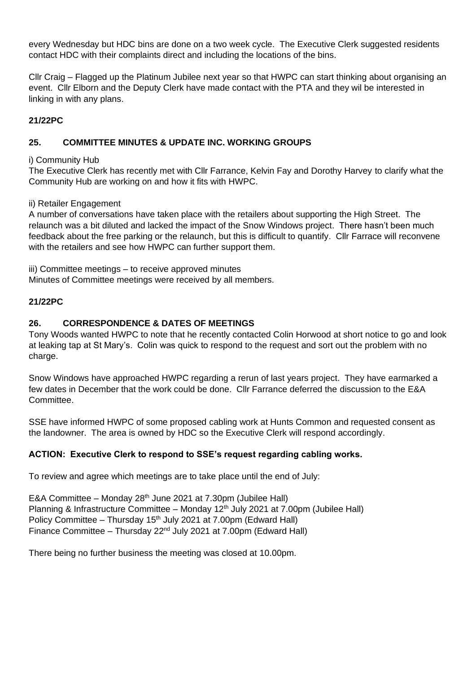every Wednesday but HDC bins are done on a two week cycle. The Executive Clerk suggested residents contact HDC with their complaints direct and including the locations of the bins.

Cllr Craig – Flagged up the Platinum Jubilee next year so that HWPC can start thinking about organising an event. Cllr Elborn and the Deputy Clerk have made contact with the PTA and they wil be interested in linking in with any plans.

# **21/22PC**

## **25. COMMITTEE MINUTES & UPDATE INC. WORKING GROUPS**

i) Community Hub

The Executive Clerk has recently met with Cllr Farrance, Kelvin Fay and Dorothy Harvey to clarify what the Community Hub are working on and how it fits with HWPC.

#### ii) Retailer Engagement

A number of conversations have taken place with the retailers about supporting the High Street. The relaunch was a bit diluted and lacked the impact of the Snow Windows project. There hasn't been much feedback about the free parking or the relaunch, but this is difficult to quantify. Cllr Farrace will reconvene with the retailers and see how HWPC can further support them.

iii) Committee meetings – to receive approved minutes

Minutes of Committee meetings were received by all members.

## **21/22PC**

## **26. CORRESPONDENCE & DATES OF MEETINGS**

Tony Woods wanted HWPC to note that he recently contacted Colin Horwood at short notice to go and look at leaking tap at St Mary's. Colin was quick to respond to the request and sort out the problem with no charge.

Snow Windows have approached HWPC regarding a rerun of last years project. They have earmarked a few dates in December that the work could be done. Cllr Farrance deferred the discussion to the E&A Committee.

SSE have informed HWPC of some proposed cabling work at Hunts Common and requested consent as the landowner. The area is owned by HDC so the Executive Clerk will respond accordingly.

# **ACTION: Executive Clerk to respond to SSE's request regarding cabling works.**

To review and agree which meetings are to take place until the end of July:

E&A Committee – Monday  $28<sup>th</sup>$  June 2021 at 7.30pm (Jubilee Hall) Planning & Infrastructure Committee – Monday 12<sup>th</sup> July 2021 at 7.00pm (Jubilee Hall) Policy Committee – Thursday 15<sup>th</sup> July 2021 at 7.00pm (Edward Hall) Finance Committee – Thursday 22nd July 2021 at 7.00pm (Edward Hall)

There being no further business the meeting was closed at 10.00pm.